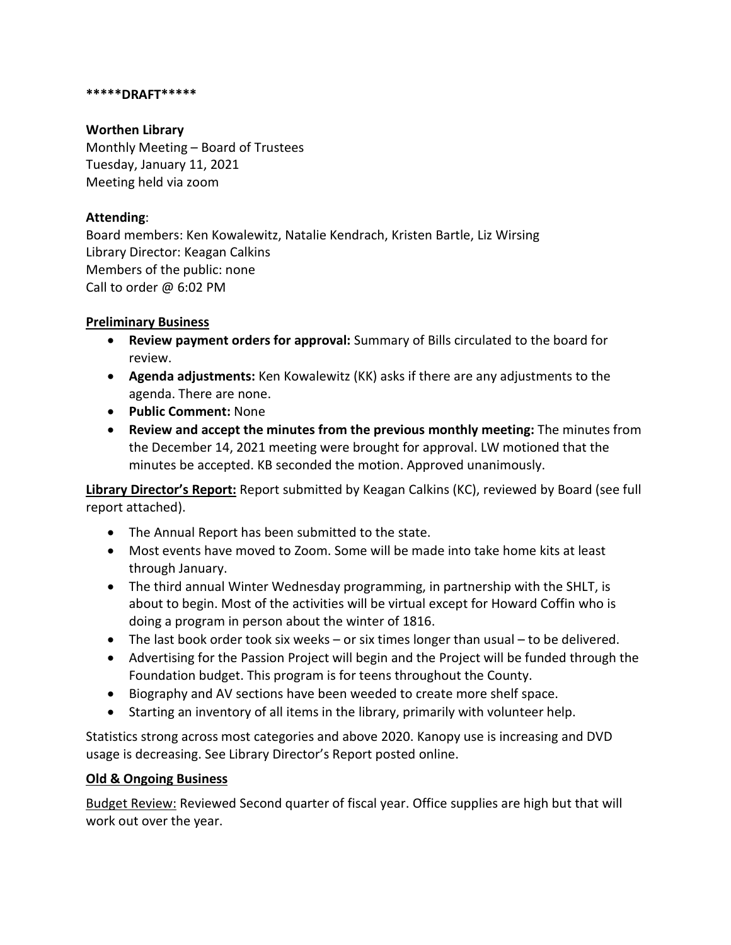#### **\*\*\*\*\*DRAFT\*\*\*\*\***

#### **Worthen Library**

Monthly Meeting – Board of Trustees Tuesday, January 11, 2021 Meeting held via zoom

# **Attending**:

Board members: Ken Kowalewitz, Natalie Kendrach, Kristen Bartle, Liz Wirsing Library Director: Keagan Calkins Members of the public: none Call to order @ 6:02 PM

## **Preliminary Business**

- **Review payment orders for approval:** Summary of Bills circulated to the board for review.
- **Agenda adjustments:** Ken Kowalewitz (KK) asks if there are any adjustments to the agenda. There are none.
- **Public Comment:** None
- **Review and accept the minutes from the previous monthly meeting:** The minutes from the December 14, 2021 meeting were brought for approval. LW motioned that the minutes be accepted. KB seconded the motion. Approved unanimously.

**Library Director's Report:** Report submitted by Keagan Calkins (KC), reviewed by Board (see full report attached).

- The Annual Report has been submitted to the state.
- Most events have moved to Zoom. Some will be made into take home kits at least through January.
- The third annual Winter Wednesday programming, in partnership with the SHLT, is about to begin. Most of the activities will be virtual except for Howard Coffin who is doing a program in person about the winter of 1816.
- The last book order took six weeks or six times longer than usual to be delivered.
- Advertising for the Passion Project will begin and the Project will be funded through the Foundation budget. This program is for teens throughout the County.
- Biography and AV sections have been weeded to create more shelf space.
- Starting an inventory of all items in the library, primarily with volunteer help.

Statistics strong across most categories and above 2020. Kanopy use is increasing and DVD usage is decreasing. See Library Director's Report posted online.

## **Old & Ongoing Business**

Budget Review: Reviewed Second quarter of fiscal year. Office supplies are high but that will work out over the year.